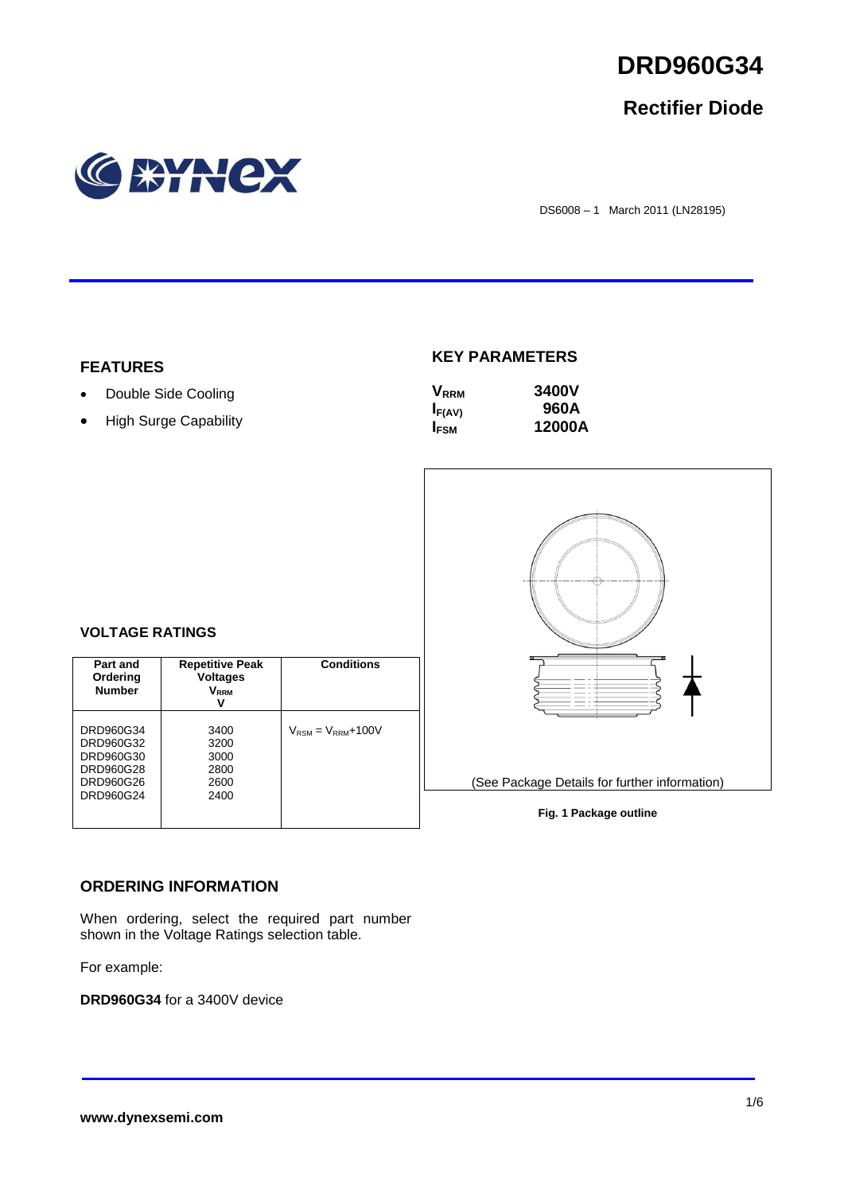

# **Rectifier Diode**



DS6008 – 1 March 2011 (LN28195)

### **FEATURES**

- Double Side Cooling
- High Surge Capability

## **KEY PARAMETERS**

| <b>V</b> <sub>RRM</sub> | <b>3400V</b> |
|-------------------------|--------------|
| $I_{F(AV)}$             | 960A         |
| <b>IFSM</b>             | 12000A       |



#### **Fig. 1 Package outline**

#### **VOLTAGE RATINGS**

| Part and<br>Ordering<br><b>Number</b>                                      | <b>Repetitive Peak</b><br>Voltages<br>V <sub>rrm</sub><br>v | <b>Conditions</b>                        |
|----------------------------------------------------------------------------|-------------------------------------------------------------|------------------------------------------|
| DRD960G34<br>DRD960G32<br>DRD960G30<br>DRD960G28<br>DRD960G26<br>DRD960G24 | 3400<br>3200<br>3000<br>2800<br>2600<br>2400                | $V_{\text{RSM}} = V_{\text{RRM}} + 100V$ |

### **ORDERING INFORMATION**

When ordering, select the required part number shown in the Voltage Ratings selection table.

For example:

**DRD960G34** for a 3400V device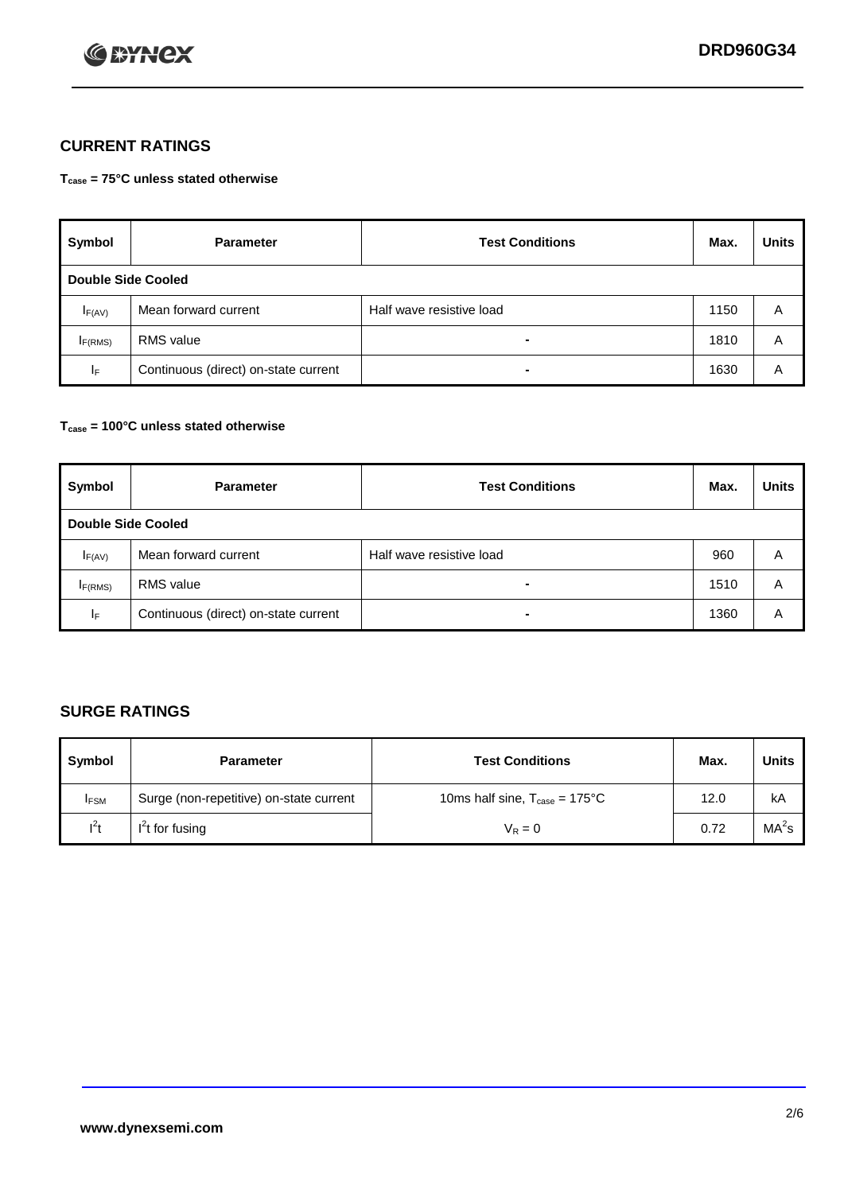

# **CURRENT RATINGS**

**Tcase = 75°C unless stated otherwise**

| Symbol                    | <b>Parameter</b>                     | <b>Test Conditions</b>   | Max. | <b>Units</b> |  |
|---------------------------|--------------------------------------|--------------------------|------|--------------|--|
| <b>Double Side Cooled</b> |                                      |                          |      |              |  |
| $I_{F(AV)}$               | Mean forward current                 | Half wave resistive load | 1150 | A            |  |
| IF(RMS)                   | <b>RMS</b> value                     | $\blacksquare$           | 1810 | A            |  |
| IF.                       | Continuous (direct) on-state current | $\blacksquare$           | 1630 | Α            |  |

### **Tcase = 100°C unless stated otherwise**

| Symbol              | <b>Parameter</b>                     | <b>Test Conditions</b>   | Max. | <b>Units</b> |  |
|---------------------|--------------------------------------|--------------------------|------|--------------|--|
|                     | <b>Double Side Cooled</b>            |                          |      |              |  |
| $I_{F(AV)}$         | Mean forward current                 | Half wave resistive load | 960  | Α            |  |
| I <sub>F(RMS)</sub> | <b>RMS</b> value                     | $\overline{\phantom{0}}$ | 1510 | A            |  |
| IF                  | Continuous (direct) on-state current | ۰                        | 1360 | A            |  |

# **SURGE RATINGS**

| Symbol      | <b>Parameter</b>                        | <b>Test Conditions</b>                            | Max. | <b>Units</b>      |
|-------------|-----------------------------------------|---------------------------------------------------|------|-------------------|
| <b>IFSM</b> | Surge (non-repetitive) on-state current | 10ms half sine, $T_{\text{case}} = 175^{\circ}$ C | 12.0 | kA                |
| $l^2t$      | I <sup>'</sup> t for fusing             | $V_R = 0$                                         | 0.72 | MA <sup>2</sup> s |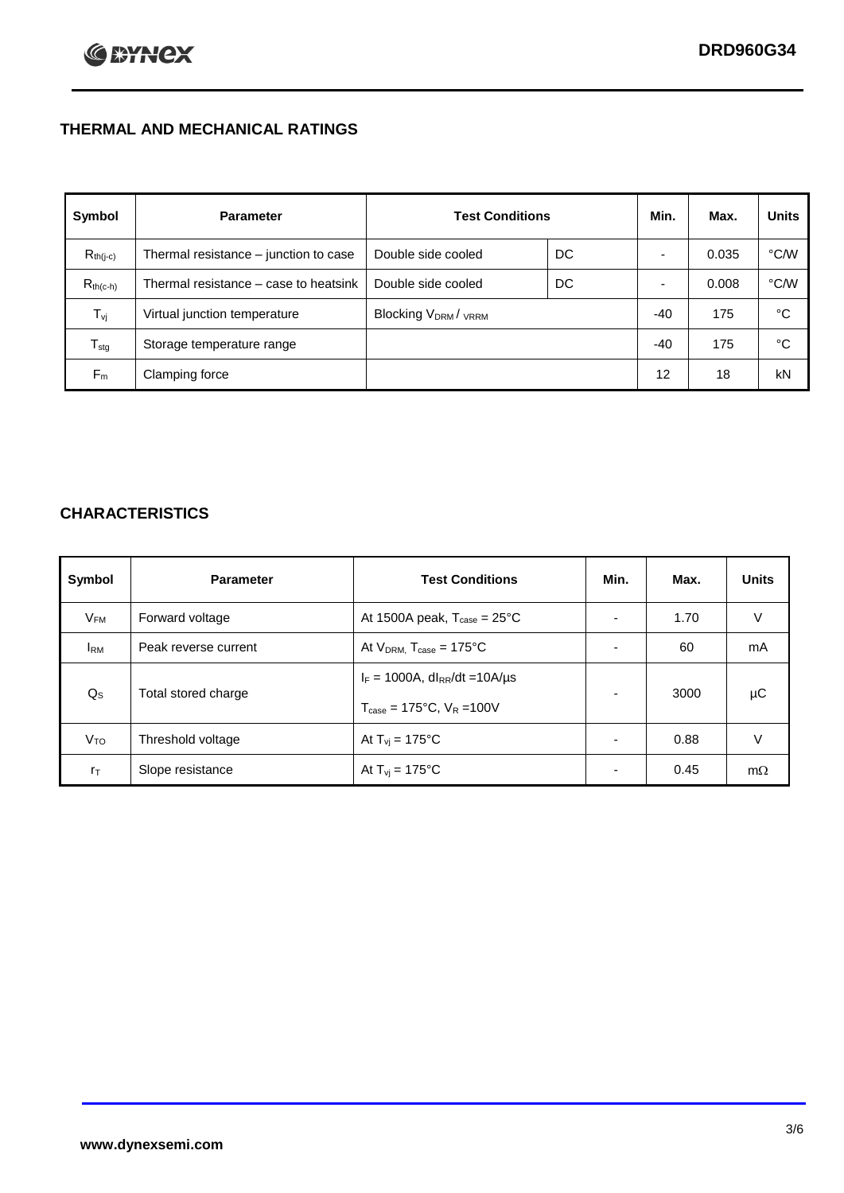# **THERMAL AND MECHANICAL RATINGS**

| Symbol           | <b>Parameter</b>                      | <b>Test Conditions</b>                      |    | Min.  | Max.  | <b>Units</b> |
|------------------|---------------------------------------|---------------------------------------------|----|-------|-------|--------------|
| $R_{th(j-c)}$    | Thermal resistance – junction to case | Double side cooled                          | DC |       | 0.035 | °C/W         |
| $R_{th(c-h)}$    | Thermal resistance – case to heatsink | Double side cooled                          | DC |       | 0.008 | °C/W         |
| $T_{\rm vj}$     | Virtual junction temperature          | Blocking V <sub>DRM</sub> / <sub>VRRM</sub> |    | $-40$ | 175   | °C           |
| $T_{\text{stg}}$ | Storage temperature range             |                                             |    | $-40$ | 175   | °C           |
| $F_m$            | Clamping force                        |                                             |    | 12    | 18    | kN           |

# **CHARACTERISTICS**

| Symbol                   | <b>Parameter</b>     | <b>Test Conditions</b>                                                                           | Min.                     | Max. | <b>Units</b> |
|--------------------------|----------------------|--------------------------------------------------------------------------------------------------|--------------------------|------|--------------|
| $\mathsf{V}_\mathsf{FM}$ | Forward voltage      | At 1500A peak, $T_{\text{case}} = 25^{\circ}C$                                                   |                          | 1.70 | V            |
| <b>I</b> <sub>RM</sub>   | Peak reverse current | At $V_{DRM}$ , $T_{case} = 175^{\circ}C$                                                         | ۰                        | 60   | mA           |
| $Q_{\rm S}$              | Total stored charge  | $I_F = 1000A$ , dl <sub>RR</sub> /dt = 10A/us<br>$T_{\text{case}} = 175^{\circ}$ C. $V_R = 100V$ | $\blacksquare$           | 3000 | μC           |
| V <sub>TO</sub>          | Threshold voltage    | At $T_{vi} = 175^{\circ}C$                                                                       | $\blacksquare$           | 0.88 | V            |
| $r_{\text{T}}$           | Slope resistance     | At $T_{vi} = 175^{\circ}C$                                                                       | $\overline{\phantom{0}}$ | 0.45 | $m\Omega$    |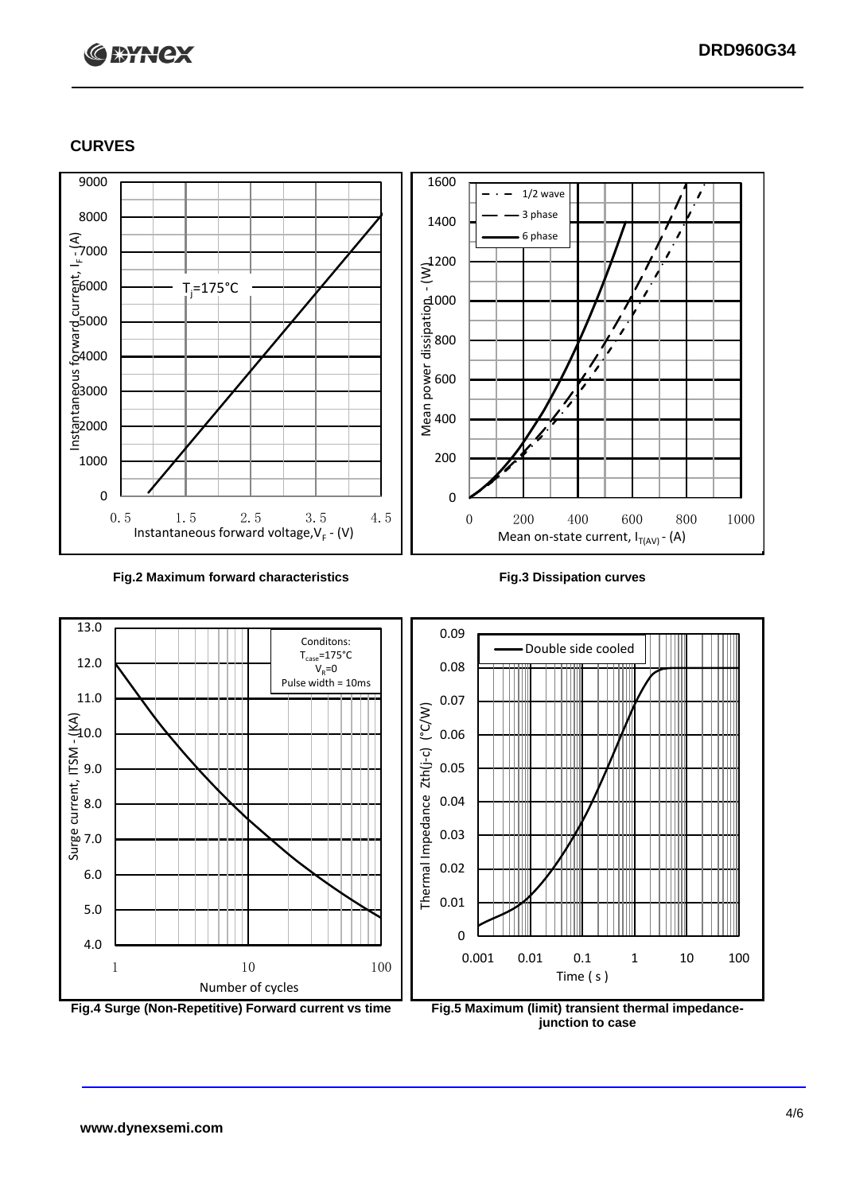# **C BYNCX**

## **CURVES**



#### **Fig.2 Maximum forward characteristics Fig.3 Dissipation curves**







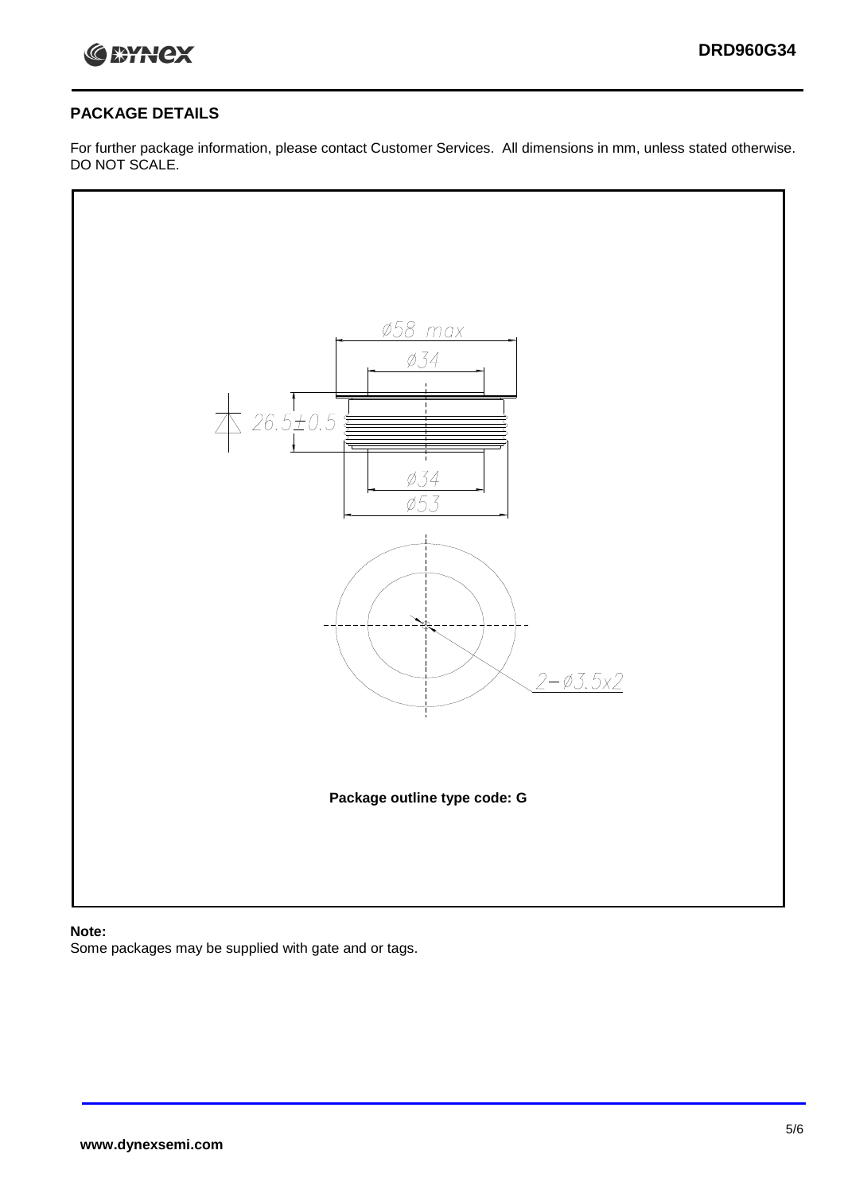

### **PACKAGE DETAILS**

For further package information, please contact Customer Services. All dimensions in mm, unless stated otherwise. DO NOT SCALE.



#### **Note:**

Some packages may be supplied with gate and or tags.